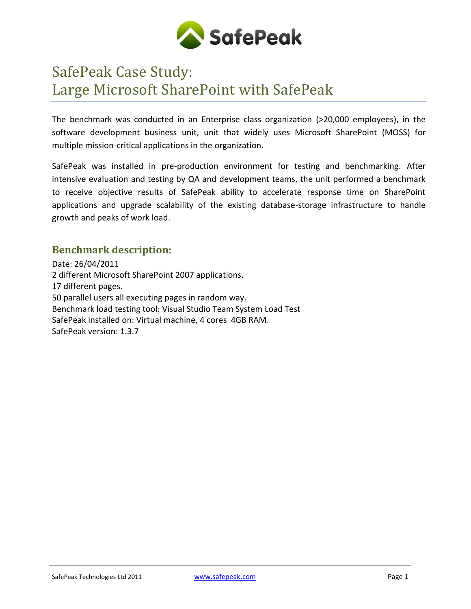

# SafePeak Case Study: Large Microsoft SharePoint with SafePeak

The benchmark was conducted in an Enterprise class organization (>20,000 employees), in the software development business unit, unit that widely uses Microsoft SharePoint (MOSS) for multiple mission-critical applications in the organization.

SafePeak was installed in pre-production environment for testing and benchmarking. After intensive evaluation and testing by QA and development teams, the unit performed a benchmark to receive objective results of SafePeak ability to accelerate response time on SharePoint applications and upgrade scalability of the existing database-storage infrastructure to handle growth and peaks of work load.

## **Benchmark description:**

Date: 26/04/2011 2 different Microsoft SharePoint 2007 applications. 17 different pages. 50 parallel users all executing pages in random way. Benchmark load testing tool: Visual Studio Team System Load Test SafePeak installed on: Virtual machine, 4 cores 4GB RAM. SafePeak version: 1.3.7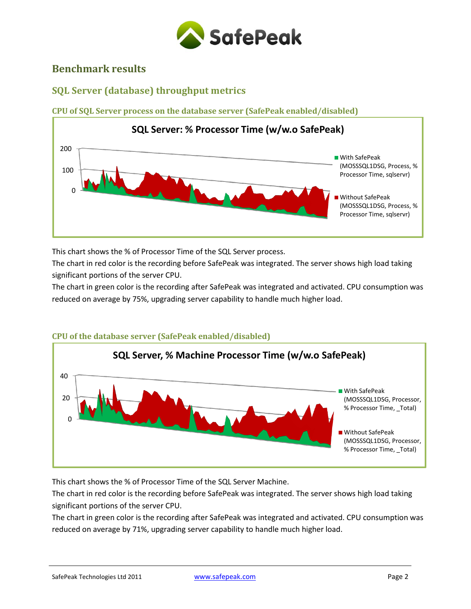

## **Benchmark results**

## **SQL Server (database) throughput metrics**

**CPU of SQL Server process on the database server (SafePeak enabled/disabled)**



This chart shows the % of Processor Time of the SQL Server process.

The chart in red color is the recording before SafePeak was integrated. The server shows high load taking significant portions of the server CPU.

The chart in green color is the recording after SafePeak was integrated and activated. CPU consumption was reduced on average by 75%, upgrading server capability to handle much higher load.



### **CPU of the database server (SafePeak enabled/disabled)**

This chart shows the % of Processor Time of the SQL Server Machine.

The chart in red color is the recording before SafePeak was integrated. The server shows high load taking significant portions of the server CPU.

The chart in green color is the recording after SafePeak was integrated and activated. CPU consumption was reduced on average by 71%, upgrading server capability to handle much higher load.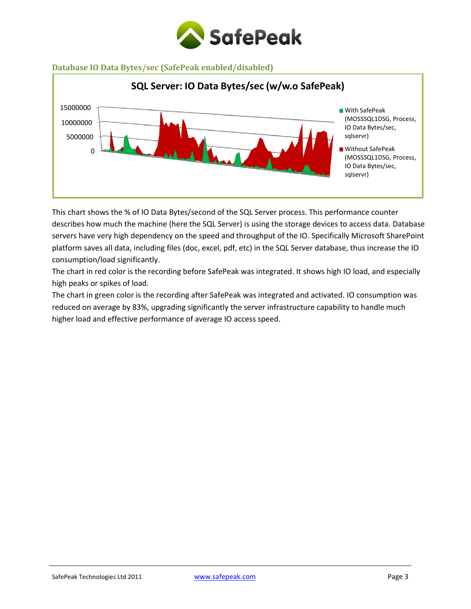

#### **Database IO Data Bytes/sec (SafePeak enabled/disabled)**



This chart shows the % of IO Data Bytes/second of the SQL Server process. This performance counter describes how much the machine (here the SQL Server) is using the storage devices to access data. Database servers have very high dependency on the speed and throughput of the IO. Specifically Microsoft SharePoint platform saves all data, including files (doc, excel, pdf, etc) in the SQL Server database, thus increase the IO consumption/load significantly.

The chart in red color is the recording before SafePeak was integrated. It shows high IO load, and especially high peaks or spikes of load.

The chart in green color is the recording after SafePeak was integrated and activated. IO consumption was reduced on average by 83%, upgrading significantly the server infrastructure capability to handle much higher load and effective performance of average IO access speed.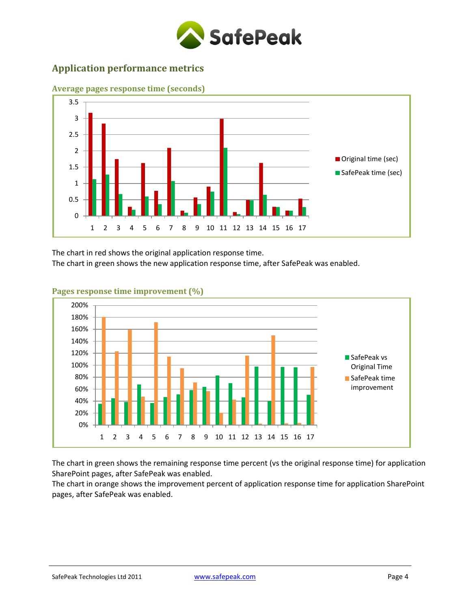

## **Application performance metrics**



**Average pages response time (seconds)**

The chart in red shows the original application response time.

The chart in green shows the new application response time, after SafePeak was enabled.



#### **Pages response time improvement (%)**

The chart in green shows the remaining response time percent (vs the original response time) for application SharePoint pages, after SafePeak was enabled.

The chart in orange shows the improvement percent of application response time for application SharePoint pages, after SafePeak was enabled.